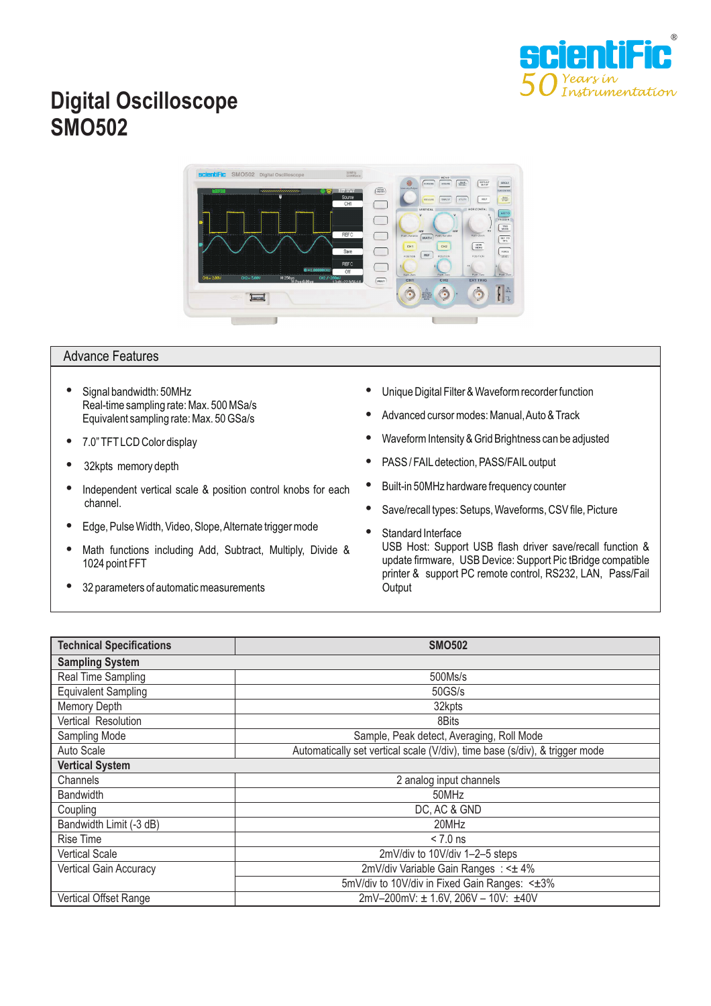

## **Digital Oscilloscope SMO502**



## Advance Features

- $\bullet$ Signal bandwidth: 50MHz Real-time sampling rate: Max. 500 MSa/s Equivalent sampling rate: Max. 50 GSa/s
- $\bullet$ 7.0" TFT LCD Color display
- $\bullet$ 32kpts memory depth
- $\bullet$ Independent vertical scale & position control knobs for each channel.
- $\bullet$ Edge, Pulse Width, Video, Slope,Alternate trigger mode
- $\bullet$ Math functions including Add, Subtract, Multiply, Divide & 1024 point FFT
- h 32 parameters of automatic measurements
- h Unique Digital Filter & Waveform recorder function
- $\bullet$ Advanced cursor modes: Manual,Auto & Track
- $\bullet$ Waveform Intensity & Grid Brightness can be adjusted
- $\bullet$ PASS / FAILdetection, PASS/FAILoutput
- $\bullet$ Built-in 50MHz hardware frequency counter
- $\bullet$ Save/recall types: Setups, Waveforms, CSV file, Picture
- h Standard Interface USB Host: Support USB flash driver save/recall function & update firmware, USB Device: Support Pic tBridge compatible printer & support PC remote control, RS232, LAN, Pass/Fail **Output**

| <b>Technical Specifications</b> | <b>SMO502</b>                                                               |
|---------------------------------|-----------------------------------------------------------------------------|
| <b>Sampling System</b>          |                                                                             |
| Real Time Sampling              | 500Ms/s                                                                     |
| <b>Equivalent Sampling</b>      | 50GS/s                                                                      |
| <b>Memory Depth</b>             | 32kpts                                                                      |
| Vertical Resolution             | 8Bits                                                                       |
| Sampling Mode                   | Sample, Peak detect, Averaging, Roll Mode                                   |
| Auto Scale                      | Automatically set vertical scale (V/div), time base (s/div), & trigger mode |
| <b>Vertical System</b>          |                                                                             |
| Channels                        | 2 analog input channels                                                     |
| <b>Bandwidth</b>                | 50MHz                                                                       |
| Coupling                        | DC, AC & GND                                                                |
| Bandwidth Limit (-3 dB)         | 20MHz                                                                       |
| <b>Rise Time</b>                | $< 7.0$ ns                                                                  |
| <b>Vertical Scale</b>           | 2mV/div to 10V/div 1-2-5 steps                                              |
| <b>Vertical Gain Accuracy</b>   | 2mV/div Variable Gain Ranges: < ± 4%                                        |
|                                 | 5mV/div to 10V/div in Fixed Gain Ranges: < $±3\%$                           |
| Vertical Offset Range           | 2mV-200mV: ± 1.6V, 206V - 10V: ±40V                                         |